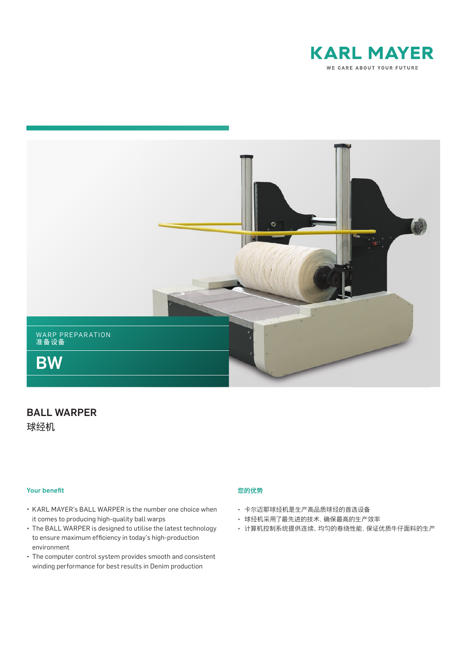



# BALL WARPER 球经机

#### **Your benefit**

- KARL MAYER's BALL WARPER is the number one choice when it comes to producing high-quality ball warps
- The BALL WARPER is designed to utilise the latest technology to ensure maximum efficiency in today's high-production environment
- The computer control system provides smooth and consistent winding performance for best results in Denim production

#### 您的优势

- 卡尔迈耶球经机是生产高品质球经的首选设备
- 球经机采用了最先进的技术,确保最高的生产效率
- 计算机控制系统提供连续、均匀的卷绕性能,保证优质牛仔面料的生产